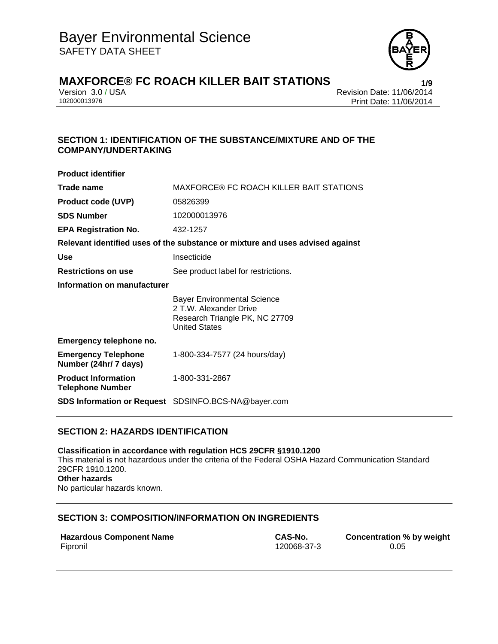

# **MAXFORCE® FC ROACH KILLER BAIT STATIONS**<br>**Perision 3.0 / USA** Version 3.0 / USA

Version 3.0 / USA Revision Date: 11/06/2014 Print Date: 11/06/2014

## **SECTION 1: IDENTIFICATION OF THE SUBSTANCE/MIXTURE AND OF THE COMPANY/UNDERTAKING**

| <b>Product identifier</b>                             |                                                                                                                        |  |  |
|-------------------------------------------------------|------------------------------------------------------------------------------------------------------------------------|--|--|
| Trade name                                            | MAXFORCE® FC ROACH KILLER BAIT STATIONS                                                                                |  |  |
| <b>Product code (UVP)</b>                             | 05826399                                                                                                               |  |  |
| <b>SDS Number</b>                                     | 102000013976                                                                                                           |  |  |
| <b>EPA Registration No.</b>                           | 432-1257                                                                                                               |  |  |
|                                                       | Relevant identified uses of the substance or mixture and uses advised against                                          |  |  |
| <b>Use</b>                                            | Insecticide                                                                                                            |  |  |
| <b>Restrictions on use</b>                            | See product label for restrictions.                                                                                    |  |  |
| Information on manufacturer                           |                                                                                                                        |  |  |
|                                                       | <b>Bayer Environmental Science</b><br>2 T.W. Alexander Drive<br>Research Triangle PK, NC 27709<br><b>United States</b> |  |  |
| Emergency telephone no.                               |                                                                                                                        |  |  |
| <b>Emergency Telephone</b><br>Number (24hr/ 7 days)   | 1-800-334-7577 (24 hours/day)                                                                                          |  |  |
| <b>Product Information</b><br><b>Telephone Number</b> | 1-800-331-2867                                                                                                         |  |  |
|                                                       | <b>SDS Information or Request</b> SDSINFO.BCS-NA@bayer.com                                                             |  |  |

## **SECTION 2: HAZARDS IDENTIFICATION**

**Classification in accordance with regulation HCS 29CFR §1910.1200**  This material is not hazardous under the criteria of the Federal OSHA Hazard Communication Standard 29CFR 1910.1200. **Other hazards**  No particular hazards known.

## **SECTION 3: COMPOSITION/INFORMATION ON INGREDIENTS**

|          | <b>Hazardous Component Name</b> |  |
|----------|---------------------------------|--|
| Fipronil |                                 |  |

**CAS-No. Concentration % by weight** Fipronil 120068-37-3 0.05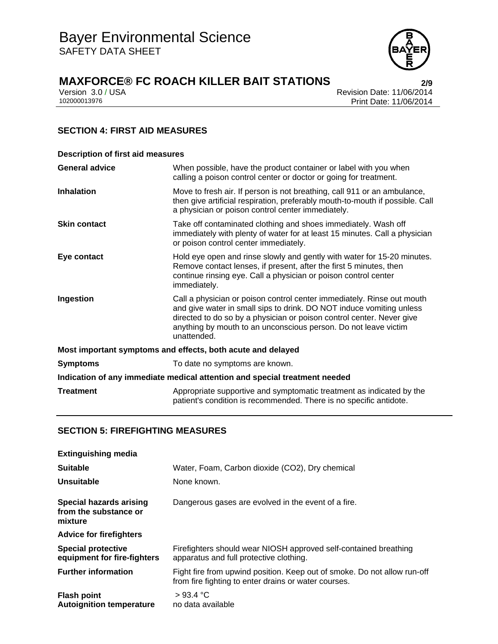

# **MAXFORCE® FC ROACH KILLER BAIT STATIONS 2/9**

| Version 3.0 / USA |  |
|-------------------|--|
| 102000013976      |  |

A Revision Date: 11/06/2014 Print Date: 11/06/2014

# **SECTION 4: FIRST AID MEASURES**

| <b>Description of first aid measures</b>                                   |                                                                                                                                                                                                                                                                                                           |  |
|----------------------------------------------------------------------------|-----------------------------------------------------------------------------------------------------------------------------------------------------------------------------------------------------------------------------------------------------------------------------------------------------------|--|
| <b>General advice</b>                                                      | When possible, have the product container or label with you when<br>calling a poison control center or doctor or going for treatment.                                                                                                                                                                     |  |
| <b>Inhalation</b>                                                          | Move to fresh air. If person is not breathing, call 911 or an ambulance,<br>then give artificial respiration, preferably mouth-to-mouth if possible. Call<br>a physician or poison control center immediately.                                                                                            |  |
| <b>Skin contact</b>                                                        | Take off contaminated clothing and shoes immediately. Wash off<br>immediately with plenty of water for at least 15 minutes. Call a physician<br>or poison control center immediately.                                                                                                                     |  |
| Eye contact                                                                | Hold eye open and rinse slowly and gently with water for 15-20 minutes.<br>Remove contact lenses, if present, after the first 5 minutes, then<br>continue rinsing eye. Call a physician or poison control center<br>immediately.                                                                          |  |
| Ingestion                                                                  | Call a physician or poison control center immediately. Rinse out mouth<br>and give water in small sips to drink. DO NOT induce vomiting unless<br>directed to do so by a physician or poison control center. Never give<br>anything by mouth to an unconscious person. Do not leave victim<br>unattended. |  |
| Most important symptoms and effects, both acute and delayed                |                                                                                                                                                                                                                                                                                                           |  |
| <b>Symptoms</b>                                                            | To date no symptoms are known.                                                                                                                                                                                                                                                                            |  |
| Indication of any immediate medical attention and special treatment needed |                                                                                                                                                                                                                                                                                                           |  |
| <b>Treatment</b>                                                           | Appropriate supportive and symptomatic treatment as indicated by the<br>patient's condition is recommended. There is no specific antidote.                                                                                                                                                                |  |

## **SECTION 5: FIREFIGHTING MEASURES**

| <b>Extinguishing media</b>                                         |                                                                                                                                  |
|--------------------------------------------------------------------|----------------------------------------------------------------------------------------------------------------------------------|
| <b>Suitable</b>                                                    | Water, Foam, Carbon dioxide (CO2), Dry chemical                                                                                  |
| Unsuitable                                                         | None known.                                                                                                                      |
| <b>Special hazards arising</b><br>from the substance or<br>mixture | Dangerous gases are evolved in the event of a fire.                                                                              |
| <b>Advice for firefighters</b>                                     |                                                                                                                                  |
| <b>Special protective</b><br>equipment for fire-fighters           | Firefighters should wear NIOSH approved self-contained breathing<br>apparatus and full protective clothing.                      |
| <b>Further information</b>                                         | Fight fire from upwind position. Keep out of smoke. Do not allow run-off<br>from fire fighting to enter drains or water courses. |
| <b>Flash point</b><br><b>Autoignition temperature</b>              | >93.4 °C<br>no data available                                                                                                    |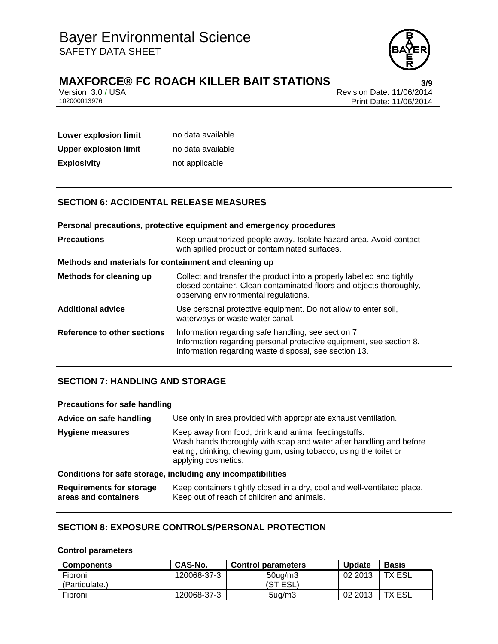

# **MAXFORCE® FC ROACH KILLER BAIT STATIONS**<br>Version 3.0 / USA<br>Revision Date: 11/06/2014

Version 3.0 / USA Revision Date: 11/06/2014 Print Date: 11/06/2014

| Lower explosion limit | no data available |
|-----------------------|-------------------|
| Upper explosion limit | no data available |
| <b>Explosivity</b>    | not applicable    |

# **SECTION 6: ACCIDENTAL RELEASE MEASURES**

|                                                       | Personal precautions, protective equipment and emergency procedures                                                                                                                  |  |
|-------------------------------------------------------|--------------------------------------------------------------------------------------------------------------------------------------------------------------------------------------|--|
| <b>Precautions</b>                                    | Keep unauthorized people away. Isolate hazard area. Avoid contact<br>with spilled product or contaminated surfaces.                                                                  |  |
| Methods and materials for containment and cleaning up |                                                                                                                                                                                      |  |
| Methods for cleaning up                               | Collect and transfer the product into a properly labelled and tightly<br>closed container. Clean contaminated floors and objects thoroughly,<br>observing environmental regulations. |  |
| <b>Additional advice</b>                              | Use personal protective equipment. Do not allow to enter soil,<br>waterways or waste water canal.                                                                                    |  |
| Reference to other sections                           | Information regarding safe handling, see section 7.<br>Information regarding personal protective equipment, see section 8.<br>Information regarding waste disposal, see section 13.  |  |

## **SECTION 7: HANDLING AND STORAGE**

| <b>Precautions for safe handling</b>                         |                                                                                                                                                                                                                         |  |  |
|--------------------------------------------------------------|-------------------------------------------------------------------------------------------------------------------------------------------------------------------------------------------------------------------------|--|--|
| Advice on safe handling                                      | Use only in area provided with appropriate exhaust ventilation.                                                                                                                                                         |  |  |
| <b>Hygiene measures</b>                                      | Keep away from food, drink and animal feedingstuffs.<br>Wash hands thoroughly with soap and water after handling and before<br>eating, drinking, chewing gum, using tobacco, using the toilet or<br>applying cosmetics. |  |  |
| Conditions for safe storage, including any incompatibilities |                                                                                                                                                                                                                         |  |  |
| <b>Requirements for storage</b><br>areas and containers      | Keep containers tightly closed in a dry, cool and well-ventilated place.<br>Keep out of reach of children and animals.                                                                                                  |  |  |

## **SECTION 8: EXPOSURE CONTROLS/PERSONAL PROTECTION**

## **Control parameters**

| <b>Components</b> | CAS-No.     | <b>Control parameters</b> | <b>Update</b> | <b>Basis</b>  |
|-------------------|-------------|---------------------------|---------------|---------------|
| Fipronil          | 120068-37-3 | 50 <sub>ug</sub> /m3      | 02 2013       | <b>TX ESL</b> |
| (Particulate.)    |             | (ST ESL)                  |               |               |
| Fipronil          | 120068-37-3 | $5uq$ /m3                 | 02 2013       | TX ESL        |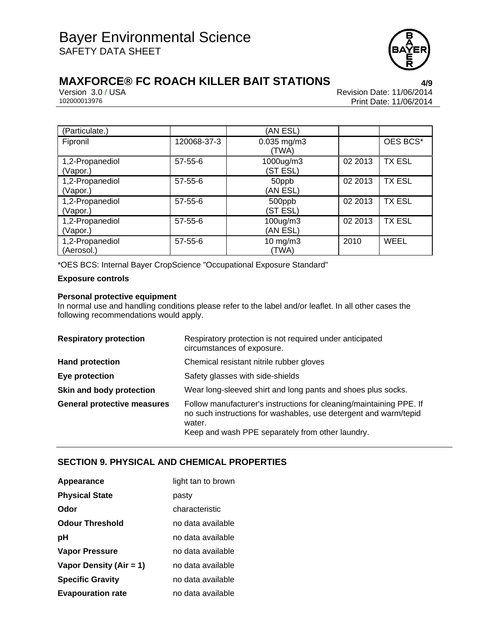

# **MAXFORCE® FC ROACH KILLER BAIT STATIONS**<br>**Prevision 3.0 / USA** Version 3.0 / USA

Version 3.0 / USA Revision Date: 11/06/2014 Print Date: 11/06/2014

| (Particulate.)                |               | (AN ESL)                  |         |               |
|-------------------------------|---------------|---------------------------|---------|---------------|
| Fipronil                      | 120068-37-3   | $0.035$ mg/m $3$<br>(TWA) |         | OES BCS*      |
| 1,2-Propanediol<br>(Vapor.)   | $57-55-6$     | 1000ug/m3<br>(ST ESL)     | 02 2013 | <b>TX ESL</b> |
| 1,2-Propanediol<br>(Vapor.)   | $57 - 55 - 6$ | 50ppb<br>(AN ESL)         | 02 2013 | <b>TX ESL</b> |
| 1,2-Propanediol<br>(Vapor.)   | $57 - 55 - 6$ | 500ppb<br>(ST ESL)        | 02 2013 | <b>TX ESL</b> |
| 1,2-Propanediol<br>(Vapor.)   | $57 - 55 - 6$ | 100ug/m3<br>(AN ESL)      | 02 2013 | <b>TX ESL</b> |
| 1,2-Propanediol<br>(Aerosol.) | $57 - 55 - 6$ | $10$ mg/m $3$<br>(TWA)    | 2010    | WEEL          |

\*OES BCS: Internal Bayer CropScience "Occupational Exposure Standard"

## **Exposure controls**

### **Personal protective equipment**

In normal use and handling conditions please refer to the label and/or leaflet. In all other cases the following recommendations would apply.

| <b>Respiratory protection</b>      | Respiratory protection is not required under anticipated<br>circumstances of exposure.                                                                                                                |
|------------------------------------|-------------------------------------------------------------------------------------------------------------------------------------------------------------------------------------------------------|
| <b>Hand protection</b>             | Chemical resistant nitrile rubber gloves                                                                                                                                                              |
| Eye protection                     | Safety glasses with side-shields                                                                                                                                                                      |
| Skin and body protection           | Wear long-sleeved shirt and long pants and shoes plus socks.                                                                                                                                          |
| <b>General protective measures</b> | Follow manufacturer's instructions for cleaning/maintaining PPE. If<br>no such instructions for washables, use detergent and warm/tepid<br>water.<br>Keep and wash PPE separately from other laundry. |

## **SECTION 9. PHYSICAL AND CHEMICAL PROPERTIES**

| Appearance               | light tan to brown |
|--------------------------|--------------------|
| <b>Physical State</b>    | pasty              |
| Odor                     | characteristic     |
| <b>Odour Threshold</b>   | no data available  |
| рH                       | no data available  |
| Vapor Pressure           | no data available  |
| Vapor Density (Air = 1)  | no data available  |
| <b>Specific Gravity</b>  | no data available  |
| <b>Evapouration rate</b> | no data available  |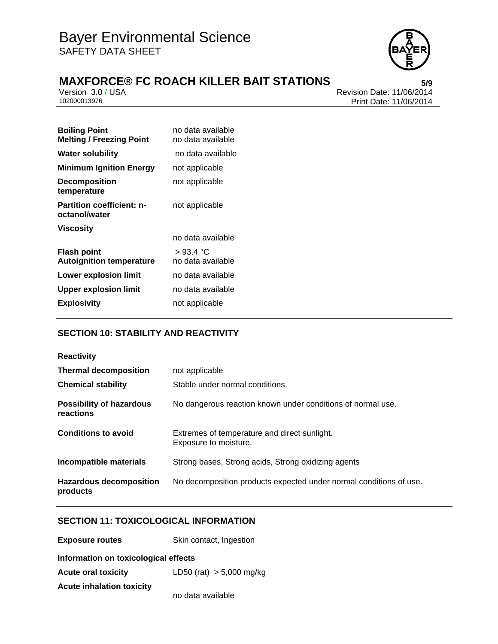

# **MAXFORCE® FC ROACH KILLER BAIT STATIONS**<br>Version 3.0 / USA<br>Revision Date: 11/06/2014

Version 3.0 / USA Revision Date: 11/06/2014 Print Date: 11/06/2014

| <b>Boiling Point</b><br><b>Melting / Freezing Point</b> | no data available<br>no data available |
|---------------------------------------------------------|----------------------------------------|
| <b>Water solubility</b>                                 | no data available                      |
| <b>Minimum Ignition Energy</b>                          | not applicable                         |
| <b>Decomposition</b><br>temperature                     | not applicable                         |
| <b>Partition coefficient: n-</b><br>octanol/water       | not applicable                         |
| <b>Viscosity</b>                                        |                                        |
|                                                         | no data available                      |
| <b>Flash point</b><br><b>Autoignition temperature</b>   | > 93.4 °C<br>no data available         |
| Lower explosion limit                                   | no data available                      |
| <b>Upper explosion limit</b>                            | no data available                      |
| <b>Explosivity</b>                                      | not applicable                         |

# **SECTION 10: STABILITY AND REACTIVITY**

| <b>Reactivity</b>                            |                                                                       |  |
|----------------------------------------------|-----------------------------------------------------------------------|--|
| <b>Thermal decomposition</b>                 | not applicable                                                        |  |
| <b>Chemical stability</b>                    | Stable under normal conditions.                                       |  |
| <b>Possibility of hazardous</b><br>reactions | No dangerous reaction known under conditions of normal use.           |  |
| <b>Conditions to avoid</b>                   | Extremes of temperature and direct sunlight.<br>Exposure to moisture. |  |
| Incompatible materials                       | Strong bases, Strong acids, Strong oxidizing agents                   |  |
| <b>Hazardous decomposition</b><br>products   | No decomposition products expected under normal conditions of use.    |  |

# **SECTION 11: TOXICOLOGICAL INFORMATION**

| <b>Exposure routes</b>               | Skin contact, Ingestion    |
|--------------------------------------|----------------------------|
| Information on toxicological effects |                            |
| <b>Acute oral toxicity</b>           | LD50 (rat) $> 5,000$ mg/kg |
| <b>Acute inhalation toxicity</b>     |                            |
|                                      | no data available          |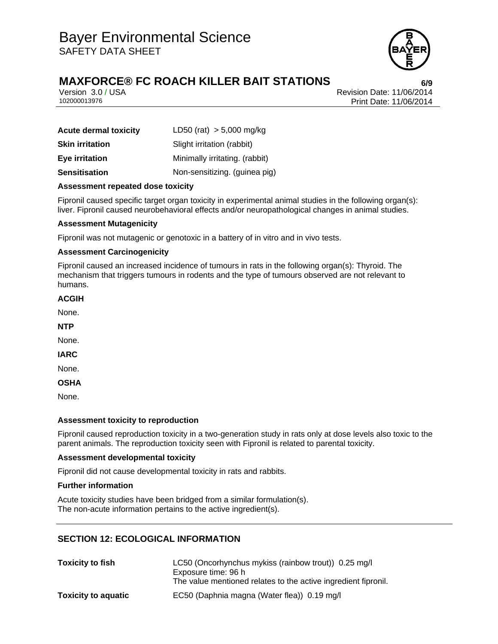

# **MAXFORCE® FC ROACH KILLER BAIT STATIONS 6/9**

Version 3.0 / USA Revision Date: 11/06/2014 102000013976 Print Date: 11/06/2014

| <b>Acute dermal toxicity</b> | LD50 (rat) $> 5,000$ mg/kg     |
|------------------------------|--------------------------------|
| <b>Skin irritation</b>       | Slight irritation (rabbit)     |
| <b>Eye irritation</b>        | Minimally irritating. (rabbit) |
| <b>Sensitisation</b>         | Non-sensitizing. (guinea pig)  |

### **Assessment repeated dose toxicity**

Fipronil caused specific target organ toxicity in experimental animal studies in the following organ(s): liver. Fipronil caused neurobehavioral effects and/or neuropathological changes in animal studies.

## **Assessment Mutagenicity**

Fipronil was not mutagenic or genotoxic in a battery of in vitro and in vivo tests.

### **Assessment Carcinogenicity**

Fipronil caused an increased incidence of tumours in rats in the following organ(s): Thyroid. The mechanism that triggers tumours in rodents and the type of tumours observed are not relevant to humans.

#### **ACGIH**

None.

**NTP** 

None.

**IARC** 

None.

**OSHA** 

None.

### **Assessment toxicity to reproduction**

Fipronil caused reproduction toxicity in a two-generation study in rats only at dose levels also toxic to the parent animals. The reproduction toxicity seen with Fipronil is related to parental toxicity.

### **Assessment developmental toxicity**

Fipronil did not cause developmental toxicity in rats and rabbits.

### **Further information**

Acute toxicity studies have been bridged from a similar formulation(s). The non-acute information pertains to the active ingredient(s).

## **SECTION 12: ECOLOGICAL INFORMATION**

| <b>Toxicity to fish</b>    | LC50 (Oncorhynchus mykiss (rainbow trout)) 0.25 mg/l<br>Exposure time: 96 h |  |
|----------------------------|-----------------------------------------------------------------------------|--|
|                            | The value mentioned relates to the active ingredient fipronil.              |  |
| <b>Toxicity to aquatic</b> | EC50 (Daphnia magna (Water flea)) 0.19 mg/l                                 |  |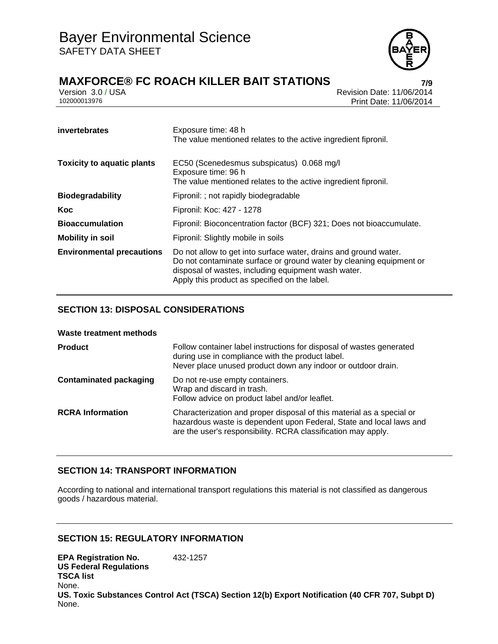

# **MAXFORCE® FC ROACH KILLER BAIT STATIONS 7/9**

Version 3.0 / USA Revision Date: 11/06/2014 Print Date: 11/06/2014

| invertebrates                     | Exposure time: 48 h<br>The value mentioned relates to the active ingredient fipronil.                                                                                                                                                           |
|-----------------------------------|-------------------------------------------------------------------------------------------------------------------------------------------------------------------------------------------------------------------------------------------------|
| <b>Toxicity to aquatic plants</b> | EC50 (Scenedesmus subspicatus) 0.068 mg/l<br>Exposure time: 96 h<br>The value mentioned relates to the active ingredient fipronil.                                                                                                              |
| <b>Biodegradability</b>           | Fipronil: ; not rapidly biodegradable                                                                                                                                                                                                           |
| Koc                               | Fipronil: Koc: 427 - 1278                                                                                                                                                                                                                       |
| <b>Bioaccumulation</b>            | Fipronil: Bioconcentration factor (BCF) 321; Does not bioaccumulate.                                                                                                                                                                            |
| <b>Mobility in soil</b>           | Fipronil: Slightly mobile in soils                                                                                                                                                                                                              |
| <b>Environmental precautions</b>  | Do not allow to get into surface water, drains and ground water.<br>Do not contaminate surface or ground water by cleaning equipment or<br>disposal of wastes, including equipment wash water.<br>Apply this product as specified on the label. |

# **SECTION 13: DISPOSAL CONSIDERATIONS**

| Waste treatment methods       |                                                                                                                                                                                                               |
|-------------------------------|---------------------------------------------------------------------------------------------------------------------------------------------------------------------------------------------------------------|
| <b>Product</b>                | Follow container label instructions for disposal of wastes generated<br>during use in compliance with the product label.<br>Never place unused product down any indoor or outdoor drain.                      |
| <b>Contaminated packaging</b> | Do not re-use empty containers.<br>Wrap and discard in trash.<br>Follow advice on product label and/or leaflet.                                                                                               |
| <b>RCRA Information</b>       | Characterization and proper disposal of this material as a special or<br>hazardous waste is dependent upon Federal, State and local laws and<br>are the user's responsibility. RCRA classification may apply. |

## **SECTION 14: TRANSPORT INFORMATION**

According to national and international transport regulations this material is not classified as dangerous goods / hazardous material.

## **SECTION 15: REGULATORY INFORMATION**

**EPA Registration No.** 432-1257 **US Federal Regulations TSCA list** None. **US. Toxic Substances Control Act (TSCA) Section 12(b) Export Notification (40 CFR 707, Subpt D)** None.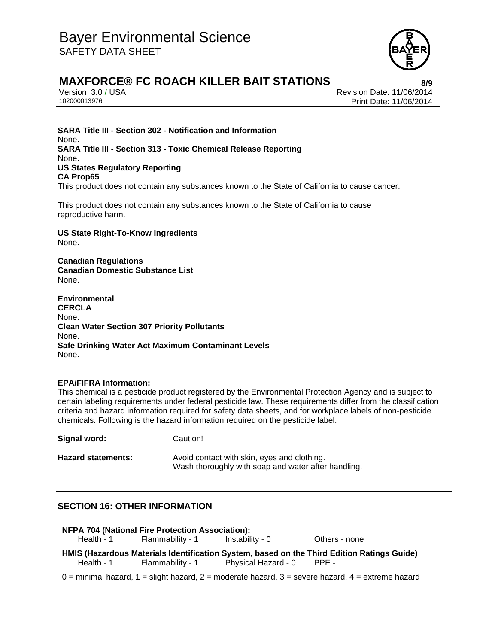

# **MAXFORCE® FC ROACH KILLER BAIT STATIONS 8/9**

Version 3.0 / USA Revision Date: 11/06/2014 Print Date: 11/06/2014

**SARA Title III - Section 302 - Notification and Information** None. **SARA Title III - Section 313 - Toxic Chemical Release Reporting** None. **US States Regulatory Reporting CA Prop65** This product does not contain any substances known to the State of California to cause cancer.

This product does not contain any substances known to the State of California to cause reproductive harm.

**US State Right-To-Know Ingredients** None.

**Canadian Regulations Canadian Domestic Substance List**  None.

**Environmental CERCLA**  None. **Clean Water Section 307 Priority Pollutants**  None. **Safe Drinking Water Act Maximum Contaminant Levels**  None.

### **EPA/FIFRA Information:**

This chemical is a pesticide product registered by the Environmental Protection Agency and is subject to certain labeling requirements under federal pesticide law. These requirements differ from the classification criteria and hazard information required for safety data sheets, and for workplace labels of non-pesticide chemicals. Following is the hazard information required on the pesticide label:

**Signal word:** Caution! Hazard statements: Avoid contact with skin, eyes and clothing. Wash thoroughly with soap and water after handling.

## **SECTION 16: OTHER INFORMATION**

| NFPA 704 (National Fire Protection Association): |                  |                           |                                                                                            |
|--------------------------------------------------|------------------|---------------------------|--------------------------------------------------------------------------------------------|
| Health - 1                                       | Flammability - 1 | Instability - 0           | Others - none                                                                              |
|                                                  |                  |                           |                                                                                            |
|                                                  |                  |                           | HMIS (Hazardous Materials Identification System, based on the Third Edition Ratings Guide) |
| Health - 1                                       | Flammability - 1 | Physical Hazard - 0 PPE - |                                                                                            |

 $0 =$  minimal hazard,  $1 =$  slight hazard,  $2 =$  moderate hazard,  $3 =$  severe hazard,  $4 =$  extreme hazard